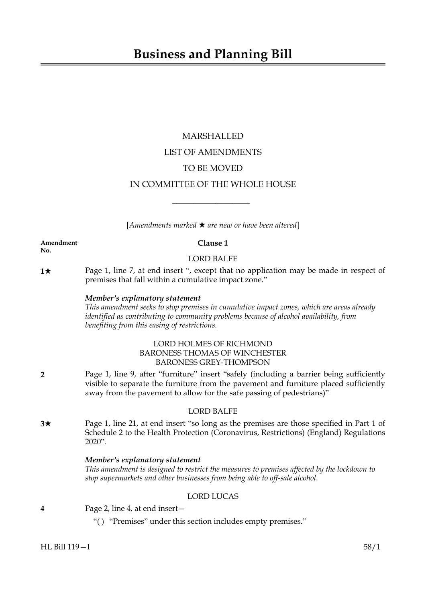# MARSHALLED LIST OF AMENDMENTS TO BE MOVED IN COMMITTEE OF THE WHOLE HOUSE

[*Amendments marked* \* *are new or have been altered*]

 $\overline{\phantom{a}}$  , where  $\overline{\phantom{a}}$ 

**Amendment Clause 1 No.**

### LORD BALFE

**1★** Page 1, line 7, at end insert ", except that no application may be made in respect of premises that fall within a cumulative impact zone."

### *Member's explanatory statement*

*This amendment seeks to stop premises in cumulative impact zones, which are areas already identified as contributing to community problems because of alcohol availability, from benefiting from this easing of restrictions.*

### LORD HOLMES OF RICHMOND BARONESS THOMAS OF WINCHESTER BARONESS GREY-THOMPSON

**2** Page 1, line 9, after "furniture" insert "safely (including a barrier being sufficiently visible to separate the furniture from the pavement and furniture placed sufficiently away from the pavement to allow for the safe passing of pedestrians)"

### LORD BALFE

**3**\* Page 1, line 21, at end insert "so long as the premises are those specified in Part 1 of Schedule 2 to the Health Protection (Coronavirus, Restrictions) (England) Regulations 2020".

### *Member's explanatory statement*

*This amendment is designed to restrict the measures to premises affected by the lockdown to stop supermarkets and other businesses from being able to off-sale alcohol.*

### LORD LUCAS

- **4** Page 2, line 4, at end insert—
	- "( ) "Premises" under this section includes empty premises."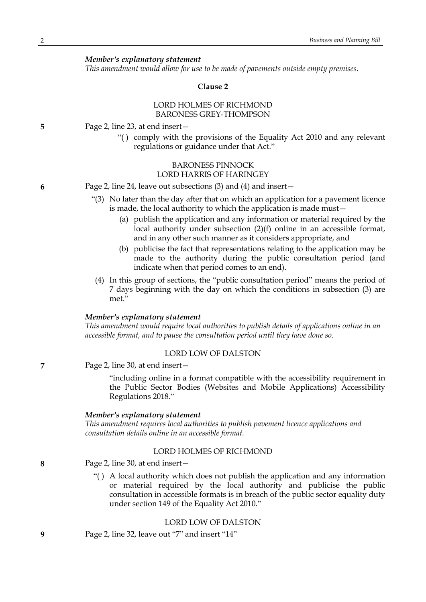*This amendment would allow for use to be made of pavements outside empty premises.*

#### **Clause 2**

### LORD HOLMES OF RICHMOND BARONESS GREY-THOMPSON

**5** Page 2, line 23, at end insert—

"( ) comply with the provisions of the Equality Act 2010 and any relevant regulations or guidance under that Act."

### BARONESS PINNOCK LORD HARRIS OF HARINGEY

**6** Page 2, line 24, leave out subsections (3) and (4) and insert—

- "(3) No later than the day after that on which an application for a pavement licence is made, the local authority to which the application is made must—
	- (a) publish the application and any information or material required by the local authority under subsection (2)(f) online in an accessible format, and in any other such manner as it considers appropriate, and
	- (b) publicise the fact that representations relating to the application may be made to the authority during the public consultation period (and indicate when that period comes to an end).
- (4) In this group of sections, the "public consultation period" means the period of 7 days beginning with the day on which the conditions in subsection (3) are met."

#### *Member's explanatory statement*

*This amendment would require local authorities to publish details of applications online in an accessible format, and to pause the consultation period until they have done so.*

#### LORD LOW OF DALSTON

**7** Page 2, line 30, at end insert—

"including online in a format compatible with the accessibility requirement in the Public Sector Bodies (Websites and Mobile Applications) Accessibility Regulations 2018."

#### *Member's explanatory statement*

*This amendment requires local authorities to publish pavement licence applications and consultation details online in an accessible format.*

### LORD HOLMES OF RICHMOND

**8** Page 2, line 30, at end insert—

"( ) A local authority which does not publish the application and any information or material required by the local authority and publicise the public consultation in accessible formats is in breach of the public sector equality duty under section 149 of the Equality Act 2010."

### LORD LOW OF DALSTON

**9** Page 2, line 32, leave out "7" and insert "14"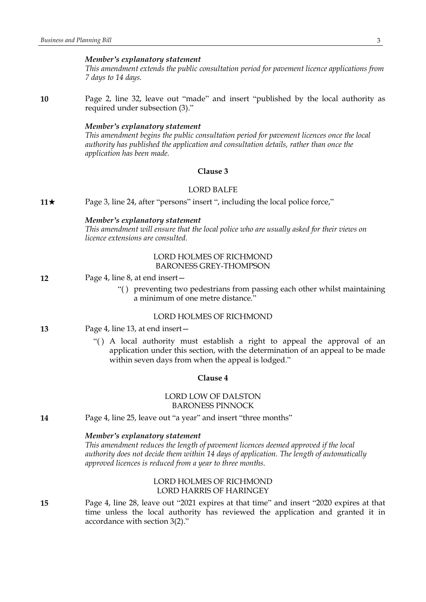*This amendment extends the public consultation period for pavement licence applications from 7 days to 14 days.*

**10** Page 2, line 32, leave out "made" and insert "published by the local authority as required under subsection (3)."

#### *Member's explanatory statement*

*This amendment begins the public consultation period for pavement licences once the local authority has published the application and consultation details, rather than once the application has been made.*

### **Clause 3**

#### LORD BALFE

**11**★ Page 3, line 24, after "persons" insert ", including the local police force,"

#### *Member's explanatory statement*

*This amendment will ensure that the local police who are usually asked for their views on licence extensions are consulted.*

### LORD HOLMES OF RICHMOND BARONESS GREY-THOMPSON

- **12** Page 4, line 8, at end insert—
	- "( ) preventing two pedestrians from passing each other whilst maintaining a minimum of one metre distance."

### LORD HOLMES OF RICHMOND

- **13** Page 4, line 13, at end insert—
	- "( ) A local authority must establish a right to appeal the approval of an application under this section, with the determination of an appeal to be made within seven days from when the appeal is lodged."

### **Clause 4**

### LORD LOW OF DALSTON BARONESS PINNOCK

**14** Page 4, line 25, leave out "a year" and insert "three months"

### *Member's explanatory statement*

*This amendment reduces the length of pavement licences deemed approved if the local authority does not decide them within 14 days of application. The length of automatically approved licences is reduced from a year to three months.*

### LORD HOLMES OF RICHMOND LORD HARRIS OF HARINGEY

**15** Page 4, line 28, leave out "2021 expires at that time" and insert "2020 expires at that time unless the local authority has reviewed the application and granted it in accordance with section 3(2)."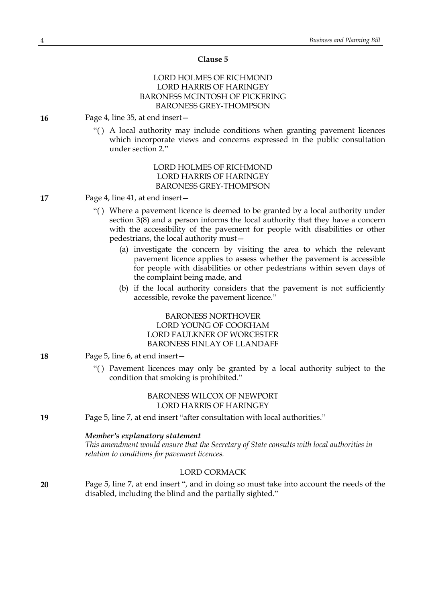#### **Clause 5**

### LORD HOLMES OF RICHMOND LORD HARRIS OF HARINGEY BARONESS MCINTOSH OF PICKERING BARONESS GREY-THOMPSON

- **16** Page 4, line 35, at end insert—
	- "( ) A local authority may include conditions when granting pavement licences which incorporate views and concerns expressed in the public consultation under section 2."

LORD HOLMES OF RICHMOND LORD HARRIS OF HARINGEY BARONESS GREY-THOMPSON

- **17** Page 4, line 41, at end insert—
	- "( ) Where a pavement licence is deemed to be granted by a local authority under section 3(8) and a person informs the local authority that they have a concern with the accessibility of the pavement for people with disabilities or other pedestrians, the local authority must—
		- (a) investigate the concern by visiting the area to which the relevant pavement licence applies to assess whether the pavement is accessible for people with disabilities or other pedestrians within seven days of the complaint being made, and
		- (b) if the local authority considers that the pavement is not sufficiently accessible, revoke the pavement licence."

### BARONESS NORTHOVER LORD YOUNG OF COOKHAM LORD FAULKNER OF WORCESTER BARONESS FINLAY OF LLANDAFF

- **18** Page 5, line 6, at end insert—
	- "( ) Pavement licences may only be granted by a local authority subject to the condition that smoking is prohibited."

### BARONESS WILCOX OF NEWPORT LORD HARRIS OF HARINGEY

**19** Page 5, line 7, at end insert "after consultation with local authorities."

#### *Member's explanatory statement*

*This amendment would ensure that the Secretary of State consults with local authorities in relation to conditions for pavement licences.*

### LORD CORMACK

**20** Page 5, line 7, at end insert ", and in doing so must take into account the needs of the disabled, including the blind and the partially sighted."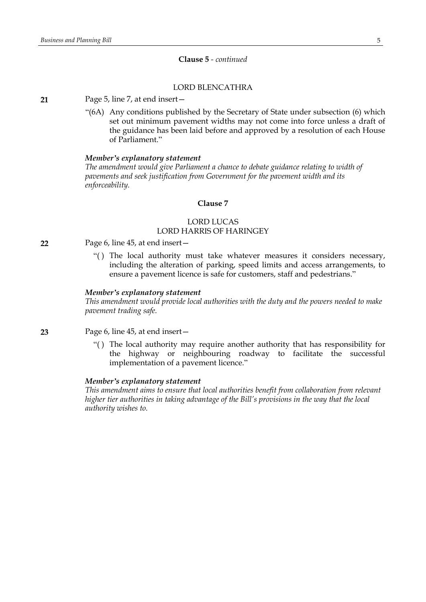### **Clause 5** *- continued*

### LORD BLENCATHRA

#### **21** Page 5, line 7, at end insert—

"(6A) Any conditions published by the Secretary of State under subsection (6) which set out minimum pavement widths may not come into force unless a draft of the guidance has been laid before and approved by a resolution of each House of Parliament."

#### *Member's explanatory statement*

*The amendment would give Parliament a chance to debate guidance relating to width of pavements and seek justification from Government for the pavement width and its enforceability.*

### **Clause 7**

### LORD LUCAS LORD HARRIS OF HARINGEY

- **22** Page 6, line 45, at end insert—
	- "( ) The local authority must take whatever measures it considers necessary, including the alteration of parking, speed limits and access arrangements, to ensure a pavement licence is safe for customers, staff and pedestrians."

#### *Member's explanatory statement*

*This amendment would provide local authorities with the duty and the powers needed to make pavement trading safe.*

**23** Page 6, line 45, at end insert—

"( ) The local authority may require another authority that has responsibility for the highway or neighbouring roadway to facilitate the successful implementation of a pavement licence."

#### *Member's explanatory statement*

*This amendment aims to ensure that local authorities benefit from collaboration from relevant higher tier authorities in taking advantage of the Bill's provisions in the way that the local authority wishes to.*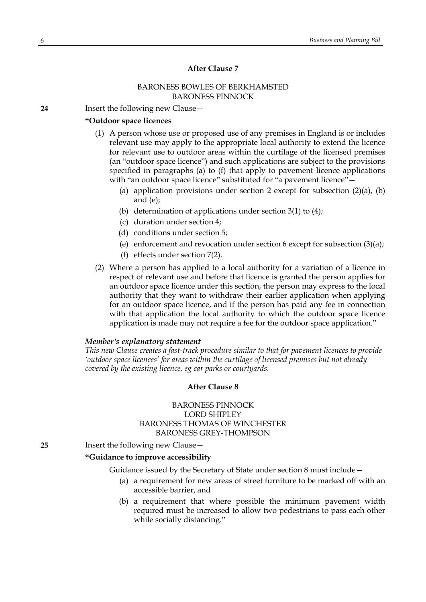### **After Clause 7**

### BARONESS BOWLES OF BERKHAMSTED BARONESS PINNOCK

**24** Insert the following new Clause—

### **"Outdoor space licences**

- (1) A person whose use or proposed use of any premises in England is or includes relevant use may apply to the appropriate local authority to extend the licence for relevant use to outdoor areas within the curtilage of the licensed premises (an "outdoor space licence") and such applications are subject to the provisions specified in paragraphs (a) to (f) that apply to pavement licence applications with "an outdoor space licence" substituted for "a pavement licence"-
	- (a) application provisions under section 2 except for subsection  $(2)(a)$ ,  $(b)$ and (e);
	- (b) determination of applications under section 3(1) to (4);
	- (c) duration under section 4;
	- (d) conditions under section 5;
	- (e) enforcement and revocation under section 6 except for subsection (3)(a);
	- (f) effects under section 7(2).
- (2) Where a person has applied to a local authority for a variation of a licence in respect of relevant use and before that licence is granted the person applies for an outdoor space licence under this section, the person may express to the local authority that they want to withdraw their earlier application when applying for an outdoor space licence, and if the person has paid any fee in connection with that application the local authority to which the outdoor space licence application is made may not require a fee for the outdoor space application."

### *Member's explanatory statement*

*This new Clause creates a fast-track procedure similar to that for pavement licences to provide 'outdoor space licences' for areas within the curtilage of licensed premises but not already covered by the existing licence, eg car parks or courtyards.*

### **After Clause 8**

### BARONESS PINNOCK LORD SHIPLEY BARONESS THOMAS OF WINCHESTER BARONESS GREY-THOMPSON

**25** Insert the following new Clause—

### **"Guidance to improve accessibility**

Guidance issued by the Secretary of State under section 8 must include—

- (a) a requirement for new areas of street furniture to be marked off with an accessible barrier, and
- (b) a requirement that where possible the minimum pavement width required must be increased to allow two pedestrians to pass each other while socially distancing."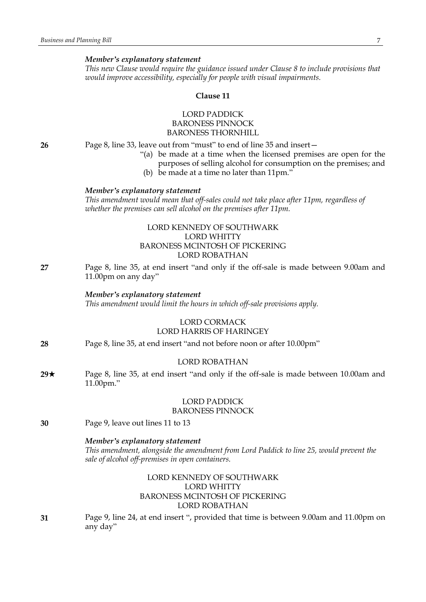*This new Clause would require the guidance issued under Clause 8 to include provisions that would improve accessibility, especially for people with visual impairments.*

#### **Clause 11**

### LORD PADDICK BARONESS PINNOCK BARONESS THORNHILL

**26** Page 8, line 33, leave out from "must" to end of line 35 and insert—

- "(a) be made at a time when the licensed premises are open for the purposes of selling alcohol for consumption on the premises; and
- (b) be made at a time no later than 11pm."

#### *Member's explanatory statement*

*This amendment would mean that off-sales could not take place after 11pm, regardless of whether the premises can sell alcohol on the premises after 11pm.*

### LORD KENNEDY OF SOUTHWARK LORD WHITTY BARONESS MCINTOSH OF PICKERING LORD ROBATHAN

**27** Page 8, line 35, at end insert "and only if the off-sale is made between 9.00am and 11.00pm on any day"

#### *Member's explanatory statement*

*This amendment would limit the hours in which off-sale provisions apply.*

#### LORD CORMACK LORD HARRIS OF HARINGEY

**28** Page 8, line 35, at end insert "and not before noon or after 10.00pm"

#### LORD ROBATHAN

**29★** Page 8, line 35, at end insert "and only if the off-sale is made between 10.00am and 11.00pm."

### LORD PADDICK

### BARONESS PINNOCK

**30** Page 9, leave out lines 11 to 13

#### *Member's explanatory statement*

*This amendment, alongside the amendment from Lord Paddick to line 25, would prevent the sale of alcohol off-premises in open containers.*

### LORD KENNEDY OF SOUTHWARK LORD WHITTY BARONESS MCINTOSH OF PICKERING LORD ROBATHAN

**31** Page 9, line 24, at end insert ", provided that time is between 9.00am and 11.00pm on any day"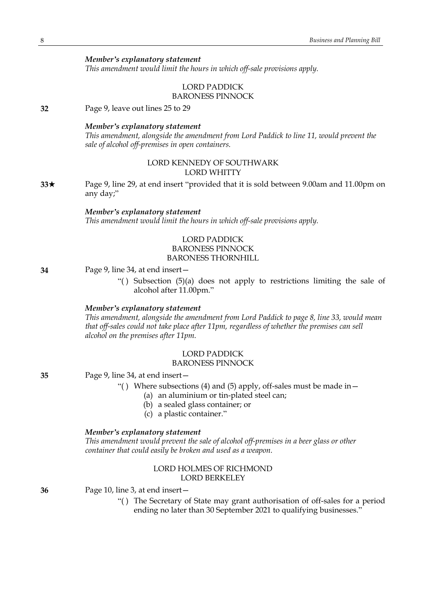*This amendment would limit the hours in which off-sale provisions apply.*

## LORD PADDICK

BARONESS PINNOCK

**32** Page 9, leave out lines 25 to 29

#### *Member's explanatory statement*

*This amendment, alongside the amendment from Lord Paddick to line 11, would prevent the sale of alcohol off-premises in open containers.*

### LORD KENNEDY OF SOUTHWARK LORD WHITTY

**33**\* Page 9, line 29, at end insert "provided that it is sold between 9.00am and 11.00pm on any day;"

#### *Member's explanatory statement*

*This amendment would limit the hours in which off-sale provisions apply.*

### LORD PADDICK BARONESS PINNOCK BARONESS THORNHILL

**34** Page 9, line 34, at end insert—

"( ) Subsection (5)(a) does not apply to restrictions limiting the sale of alcohol after 11.00pm."

### *Member's explanatory statement*

*This amendment, alongside the amendment from Lord Paddick to page 8, line 33, would mean that off-sales could not take place after 11pm, regardless of whether the premises can sell alcohol on the premises after 11pm.*

## LORD PADDICK

### BARONESS PINNOCK

**35** Page 9, line 34, at end insert—

- "() Where subsections (4) and (5) apply, off-sales must be made in  $-$ 
	- (a) an aluminium or tin-plated steel can;
	- (b) a sealed glass container; or
	- (c) a plastic container."

#### *Member's explanatory statement*

*This amendment would prevent the sale of alcohol off-premises in a beer glass or other container that could easily be broken and used as a weapon.*

### LORD HOLMES OF RICHMOND LORD BERKELEY

**36** Page 10, line 3, at end insert—

"( ) The Secretary of State may grant authorisation of off-sales for a period ending no later than 30 September 2021 to qualifying businesses."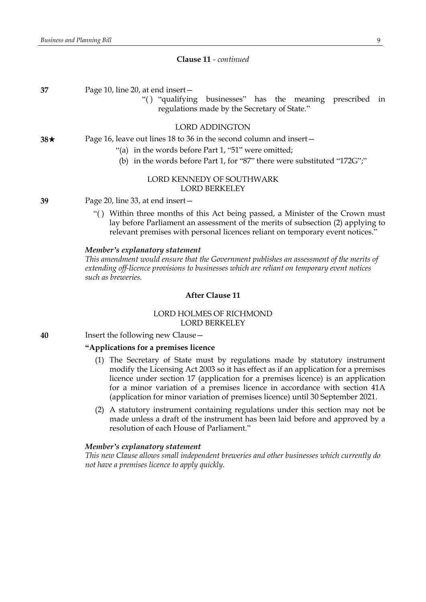#### **Clause 11** *- continued*

| 37 | Page 10, line 20, at end insert- |
|----|----------------------------------|
|----|----------------------------------|

"( ) "qualifying businesses" has the meaning prescribed in regulations made by the Secretary of State."

#### LORD ADDINGTON

### **38**★ Page 16, leave out lines 18 to 36 in the second column and insert—

- "(a) in the words before Part 1, "51" were omitted;
- (b) in the words before Part 1, for "87" there were substituted "172G";"

### LORD KENNEDY OF SOUTHWARK LORD BERKELEY

**39** Page 20, line 33, at end insert—

"( ) Within three months of this Act being passed, a Minister of the Crown must lay before Parliament an assessment of the merits of subsection (2) applying to relevant premises with personal licences reliant on temporary event notices."

#### *Member's explanatory statement*

*This amendment would ensure that the Government publishes an assessment of the merits of extending off-licence provisions to businesses which are reliant on temporary event notices such as breweries.*

### **After Clause 11**

### LORD HOLMES OF RICHMOND LORD BERKELEY

**40** Insert the following new Clause—

### **"Applications for a premises licence**

- (1) The Secretary of State must by regulations made by statutory instrument modify the Licensing Act 2003 so it has effect as if an application for a premises licence under section 17 (application for a premises licence) is an application for a minor variation of a premises licence in accordance with section 41A (application for minor variation of premises licence) until 30 September 2021.
- (2) A statutory instrument containing regulations under this section may not be made unless a draft of the instrument has been laid before and approved by a resolution of each House of Parliament."

#### *Member's explanatory statement*

*This new Clause allows small independent breweries and other businesses which currently do not have a premises licence to apply quickly.*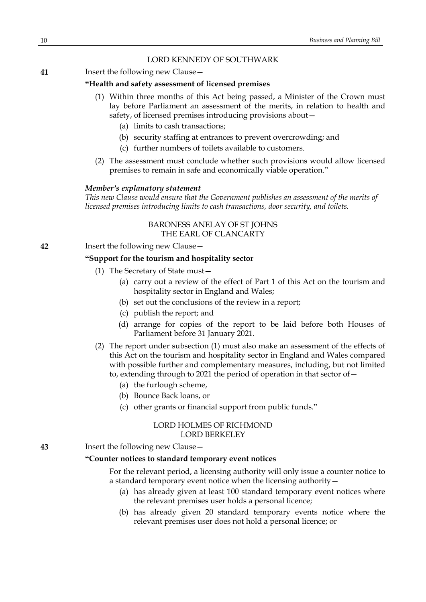### LORD KENNEDY OF SOUTHWARK

**41** Insert the following new Clause—

#### **"Health and safety assessment of licensed premises**

- (1) Within three months of this Act being passed, a Minister of the Crown must lay before Parliament an assessment of the merits, in relation to health and safety, of licensed premises introducing provisions about—
	- (a) limits to cash transactions;
	- (b) security staffing at entrances to prevent overcrowding; and
	- (c) further numbers of toilets available to customers.
- (2) The assessment must conclude whether such provisions would allow licensed premises to remain in safe and economically viable operation."

#### *Member's explanatory statement*

*This new Clause would ensure that the Government publishes an assessment of the merits of licensed premises introducing limits to cash transactions, door security, and toilets.*

### BARONESS ANELAY OF ST JOHNS THE EARL OF CLANCARTY

**42** Insert the following new Clause—

#### **"Support for the tourism and hospitality sector**

- (1) The Secretary of State must—
	- (a) carry out a review of the effect of Part 1 of this Act on the tourism and hospitality sector in England and Wales;
	- (b) set out the conclusions of the review in a report;
	- (c) publish the report; and
	- (d) arrange for copies of the report to be laid before both Houses of Parliament before 31 January 2021.
- (2) The report under subsection (1) must also make an assessment of the effects of this Act on the tourism and hospitality sector in England and Wales compared with possible further and complementary measures, including, but not limited to, extending through to 2021 the period of operation in that sector of—
	- (a) the furlough scheme,
	- (b) Bounce Back loans, or
	- (c) other grants or financial support from public funds."

#### LORD HOLMES OF RICHMOND LORD BERKELEY

**43** Insert the following new Clause—

### **"Counter notices to standard temporary event notices**

For the relevant period, a licensing authority will only issue a counter notice to a standard temporary event notice when the licensing authority—

- (a) has already given at least 100 standard temporary event notices where the relevant premises user holds a personal licence;
- (b) has already given 20 standard temporary events notice where the relevant premises user does not hold a personal licence; or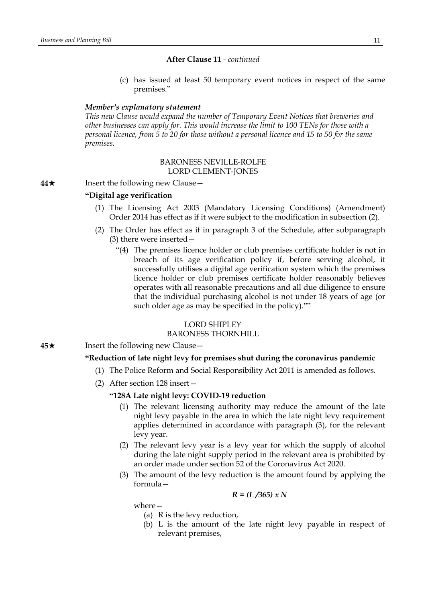(c) has issued at least 50 temporary event notices in respect of the same premises."

#### *Member's explanatory statement*

*This new Clause would expand the number of Temporary Event Notices that breweries and other businesses can apply for. This would increase the limit to 100 TENs for those with a* personal licence, from 5 to 20 for those without a personal licence and 15 to 50 for the same *premises.*

#### BARONESS NEVILLE-ROLFE LORD CLEMENT-JONES

### **44**★ Insert the following new Clause —

#### **"Digital age verification**

- (1) The Licensing Act 2003 (Mandatory Licensing Conditions) (Amendment) Order 2014 has effect as if it were subject to the modification in subsection (2).
- (2) The Order has effect as if in paragraph 3 of the Schedule, after subparagraph (3) there were inserted—
	- "(4) The premises licence holder or club premises certificate holder is not in breach of its age verification policy if, before serving alcohol, it successfully utilises a digital age verification system which the premises licence holder or club premises certificate holder reasonably believes operates with all reasonable precautions and all due diligence to ensure that the individual purchasing alcohol is not under 18 years of age (or such older age as may be specified in the policy).""

### LORD SHIPLEY

#### BARONESS THORNHILL

**45**★ Insert the following new Clause —

### **"Reduction of late night levy for premises shut during the coronavirus pandemic**

- (1) The Police Reform and Social Responsibility Act 2011 is amended as follows.
- (2) After section 128 insert—

### **"128A Late night levy: COVID-19 reduction**

- (1) The relevant licensing authority may reduce the amount of the late night levy payable in the area in which the late night levy requirement applies determined in accordance with paragraph (3), for the relevant levy year.
- (2) The relevant levy year is a levy year for which the supply of alcohol during the late night supply period in the relevant area is prohibited by an order made under section 52 of the Coronavirus Act 2020.
- (3) The amount of the levy reduction is the amount found by applying the formula—

$$
R = (L/365) \times N
$$

where—

- (a) R is the levy reduction,
- (b) L is the amount of the late night levy payable in respect of relevant premises,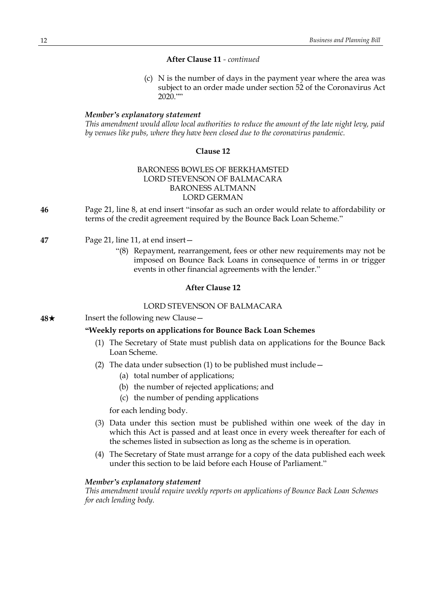(c) N is the number of days in the payment year where the area was subject to an order made under section 52 of the Coronavirus Act 2020.""

#### *Member's explanatory statement*

*This amendment would allow local authorities to reduce the amount of the late night levy, paid by venues like pubs, where they have been closed due to the coronavirus pandemic.*

#### **Clause 12**

### BARONESS BOWLES OF BERKHAMSTED LORD STEVENSON OF BALMACARA BARONESS ALTMANN LORD GERMAN

- **46** Page 21, line 8, at end insert "insofar as such an order would relate to affordability or terms of the credit agreement required by the Bounce Back Loan Scheme."
- **47** Page 21, line 11, at end insert—
	- "(8) Repayment, rearrangement, fees or other new requirements may not be imposed on Bounce Back Loans in consequence of terms in or trigger events in other financial agreements with the lender."

### **After Clause 12**

### LORD STEVENSON OF BALMACARA

**48**★ Insert the following new Clause —

#### **"Weekly reports on applications for Bounce Back Loan Schemes**

- (1) The Secretary of State must publish data on applications for the Bounce Back Loan Scheme.
- (2) The data under subsection (1) to be published must include  $-$ 
	- (a) total number of applications;
	- (b) the number of rejected applications; and
	- (c) the number of pending applications

for each lending body.

- (3) Data under this section must be published within one week of the day in which this Act is passed and at least once in every week thereafter for each of the schemes listed in subsection as long as the scheme is in operation.
- (4) The Secretary of State must arrange for a copy of the data published each week under this section to be laid before each House of Parliament."

#### *Member's explanatory statement*

*This amendment would require weekly reports on applications of Bounce Back Loan Schemes for each lending body.*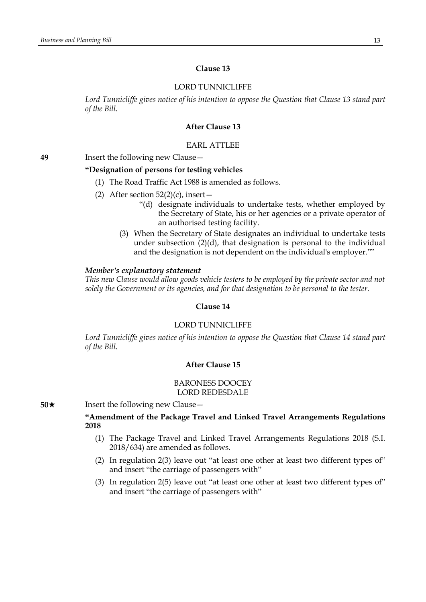### **Clause 13**

#### LORD TUNNICLIFFE

*Lord Tunnicliffe gives notice of his intention to oppose the Question that Clause 13 stand part of the Bill.*

### **After Clause 13**

### EARL ATTLEE

**49** Insert the following new Clause—

### **"Designation of persons for testing vehicles**

- (1) The Road Traffic Act 1988 is amended as follows.
- (2) After section  $52(2)(c)$ , insert -
	- "(d) designate individuals to undertake tests, whether employed by the Secretary of State, his or her agencies or a private operator of an authorised testing facility.
	- (3) When the Secretary of State designates an individual to undertake tests under subsection (2)(d), that designation is personal to the individual and the designation is not dependent on the individual's employer.""

#### *Member's explanatory statement*

*This new Clause would allow goods vehicle testers to be employed by the private sector and not solely the Government or its agencies, and for that designation to be personal to the tester.*

#### **Clause 14**

#### LORD TUNNICLIFFE

*Lord Tunnicliffe gives notice of his intention to oppose the Question that Clause 14 stand part of the Bill.*

#### **After Clause 15**

#### BARONESS DOOCEY LORD REDESDALE

**50**★ Insert the following new Clause

### **"Amendment of the Package Travel and Linked Travel Arrangements Regulations 2018**

- (1) The Package Travel and Linked Travel Arrangements Regulations 2018 (S.I. 2018/634) are amended as follows.
- (2) In regulation 2(3) leave out "at least one other at least two different types of" and insert "the carriage of passengers with"
- (3) In regulation 2(5) leave out "at least one other at least two different types of" and insert "the carriage of passengers with"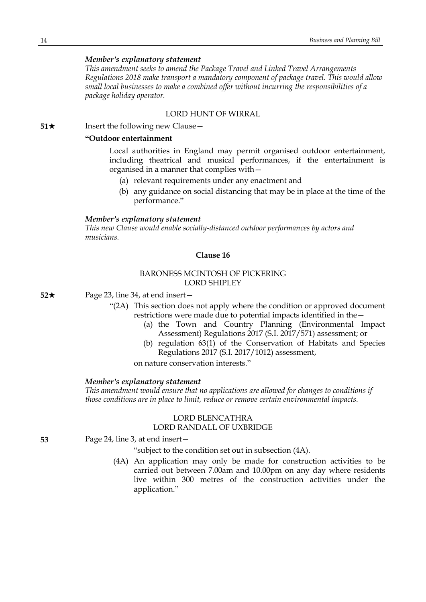*This amendment seeks to amend the Package Travel and Linked Travel Arrangements Regulations 2018 make transport a mandatory component of package travel. This would allow small local businesses to make a combined offer without incurring the responsibilities of a package holiday operator.*

### LORD HUNT OF WIRRAL

**51**★ Insert the following new Clause

#### **"Outdoor entertainment**

Local authorities in England may permit organised outdoor entertainment, including theatrical and musical performances, if the entertainment is organised in a manner that complies with—

- (a) relevant requirements under any enactment and
- (b) any guidance on social distancing that may be in place at the time of the performance."

#### *Member's explanatory statement*

*This new Clause would enable socially-distanced outdoor performances by actors and musicians.*

### **Clause 16**

### BARONESS MCINTOSH OF PICKERING LORD SHIPLEY

**52**★ Page 23, line 34, at end insert—

- "(2A) This section does not apply where the condition or approved document restrictions were made due to potential impacts identified in the—
	- (a) the Town and Country Planning (Environmental Impact Assessment) Regulations 2017 (S.I. 2017/571) assessment; or
	- (b) regulation 63(1) of the Conservation of Habitats and Species Regulations 2017 (S.I. 2017/1012) assessment,

on nature conservation interests."

#### *Member's explanatory statement*

*This amendment would ensure that no applications are allowed for changes to conditions if those conditions are in place to limit, reduce or remove certain environmental impacts.*

#### LORD BLENCATHRA LORD RANDALL OF UXBRIDGE

**53** Page 24, line 3, at end insert—

"subject to the condition set out in subsection (4A).

(4A) An application may only be made for construction activities to be carried out between 7.00am and 10.00pm on any day where residents live within 300 metres of the construction activities under the application."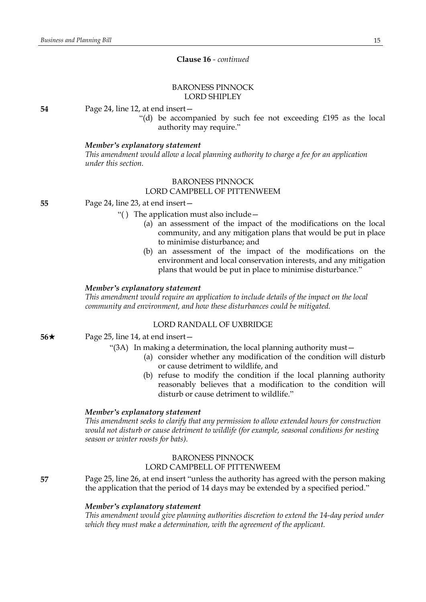### **Clause 16** *- continued*

#### BARONESS PINNOCK LORD SHIPLEY

**54** Page 24, line 12, at end insert—

"(d) be accompanied by such fee not exceeding £195 as the local authority may require."

#### *Member's explanatory statement*

*This amendment would allow a local planning authority to charge a fee for an application under this section.*

### BARONESS PINNOCK LORD CAMPBELL OF PITTENWEEM

**55** Page 24, line 23, at end insert—

"( ) The application must also include—

- (a) an assessment of the impact of the modifications on the local community, and any mitigation plans that would be put in place to minimise disturbance; and
- (b) an assessment of the impact of the modifications on the environment and local conservation interests, and any mitigation plans that would be put in place to minimise disturbance."

#### *Member's explanatory statement*

*This amendment would require an application to include details of the impact on the local community and environment, and how these disturbances could be mitigated.*

### LORD RANDALL OF UXBRIDGE

**56**★ Page 25, line 14, at end insert —

"(3A) In making a determination, the local planning authority must—

- (a) consider whether any modification of the condition will disturb or cause detriment to wildlife, and
- (b) refuse to modify the condition if the local planning authority reasonably believes that a modification to the condition will disturb or cause detriment to wildlife."

#### *Member's explanatory statement*

*This amendment seeks to clarify that any permission to allow extended hours for construction would not disturb or cause detriment to wildlife (for example, seasonal conditions for nesting season or winter roosts for bats).*

### BARONESS PINNOCK LORD CAMPBELL OF PITTENWEEM

**57** Page 25, line 26, at end insert "unless the authority has agreed with the person making the application that the period of 14 days may be extended by a specified period."

#### *Member's explanatory statement*

*This amendment would give planning authorities discretion to extend the 14-day period under which they must make a determination, with the agreement of the applicant.*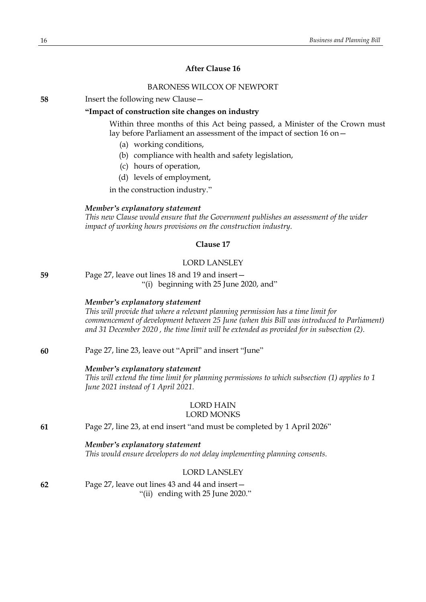### **After Clause 16**

### BARONESS WILCOX OF NEWPORT

**58** Insert the following new Clause—

#### **"Impact of construction site changes on industry**

Within three months of this Act being passed, a Minister of the Crown must lay before Parliament an assessment of the impact of section 16 on—

- (a) working conditions,
- (b) compliance with health and safety legislation,
- (c) hours of operation,
- (d) levels of employment,

in the construction industry."

### *Member's explanatory statement*

*This new Clause would ensure that the Government publishes an assessment of the wider impact of working hours provisions on the construction industry.*

### **Clause 17**

### LORD LANSLEY

**59** Page 27, leave out lines 18 and 19 and insert— "(i) beginning with 25 June 2020, and"

#### *Member's explanatory statement*

*This will provide that where a relevant planning permission has a time limit for commencement of development between 25 June (when this Bill was introduced to Parliament) and 31 December 2020 , the time limit will be extended as provided for in subsection (2).*

**60** Page 27, line 23, leave out "April" and insert "June"

#### *Member's explanatory statement*

*This will extend the time limit for planning permissions to which subsection (1) applies to 1 June 2021 instead of 1 April 2021.*

## LORD HAIN

## LORD MONKS

**61** Page 27, line 23, at end insert "and must be completed by 1 April 2026"

#### *Member's explanatory statement*

*This would ensure developers do not delay implementing planning consents.*

### LORD LANSLEY

**62** Page 27, leave out lines 43 and 44 and insert— "(ii) ending with 25 June 2020."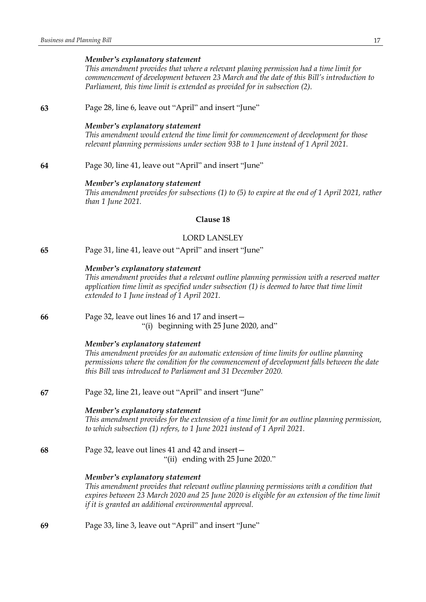*This amendment provides that where a relevant planing permission had a time limit for commencement of development between 23 March and the date of this Bill's introduction to Parliament, this time limit is extended as provided for in subsection (2).*

**63** Page 28, line 6, leave out "April" and insert "June"

#### *Member's explanatory statement*

*This amendment would extend the time limit for commencement of development for those relevant planning permissions under section 93B to 1 June instead of 1 April 2021.*

**64** Page 30, line 41, leave out "April" and insert "June"

#### *Member's explanatory statement*

*This amendment provides for subsections (1) to (5) to expire at the end of 1 April 2021, rather than 1 June 2021.*

### **Clause 18**

#### LORD LANSLEY

**65** Page 31, line 41, leave out "April" and insert "June"

#### *Member's explanatory statement*

*This amendment provides that a relevant outline planning permission with a reserved matter application time limit as specified under subsection (1) is deemed to have that time limit extended to 1 June instead of 1 April 2021.*

**66** Page 32, leave out lines 16 and 17 and insert—

"(i) beginning with 25 June 2020, and"

#### *Member's explanatory statement*

*This amendment provides for an automatic extension of time limits for outline planning permissions where the condition for the commencement of development falls between the date this Bill was introduced to Parliament and 31 December 2020.*

**67** Page 32, line 21, leave out "April" and insert "June"

#### *Member's explanatory statement*

*This amendment provides for the extension of a time limit for an outline planning permission, to which subsection (1) refers, to 1 June 2021 instead of 1 April 2021.*

#### **68** Page 32, leave out lines 41 and 42 and insert— "(ii) ending with 25 June 2020."

### *Member's explanatory statement*

*This amendment provides that relevant outline planning permissions with a condition that expires between 23 March 2020 and 25 June 2020 is eligible for an extension of the time limit if it is granted an additional environmental approval.*

**69** Page 33, line 3, leave out "April" and insert "June"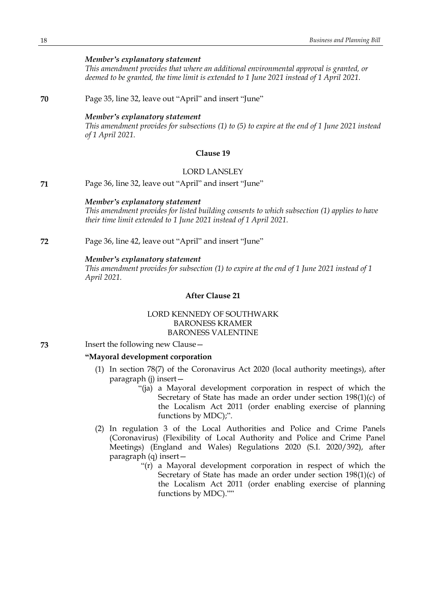*This amendment provides that where an additional environmental approval is granted, or deemed to be granted, the time limit is extended to 1 June 2021 instead of 1 April 2021.*

**70** Page 35, line 32, leave out "April" and insert "June"

### *Member's explanatory statement*

*This amendment provides for subsections (1) to (5) to expire at the end of 1 June 2021 instead of 1 April 2021.*

### **Clause 19**

### LORD LANSLEY

**71** Page 36, line 32, leave out "April" and insert "June"

### *Member's explanatory statement*

*This amendment provides for listed building consents to which subsection (1) applies to have their time limit extended to 1 June 2021 instead of 1 April 2021.*

**72** Page 36, line 42, leave out "April" and insert "June"

#### *Member's explanatory statement*

*This amendment provides for subsection (1) to expire at the end of 1 June 2021 instead of 1 April 2021.*

### **After Clause 21**

### LORD KENNEDY OF SOUTHWARK BARONESS KRAMER BARONESS VALENTINE

**73** Insert the following new Clause—

#### **"Mayoral development corporation**

- (1) In section 78(7) of the Coronavirus Act 2020 (local authority meetings), after paragraph (j) insert—
	- "(ja) a Mayoral development corporation in respect of which the Secretary of State has made an order under section 198(1)(c) of the Localism Act 2011 (order enabling exercise of planning functions by MDC);".
- (2) In regulation 3 of the Local Authorities and Police and Crime Panels (Coronavirus) (Flexibility of Local Authority and Police and Crime Panel Meetings) (England and Wales) Regulations 2020 (S.I. 2020/392), after paragraph (q) insert—
	- "(r) a Mayoral development corporation in respect of which the Secretary of State has made an order under section 198(1)(c) of the Localism Act 2011 (order enabling exercise of planning functions by MDC).""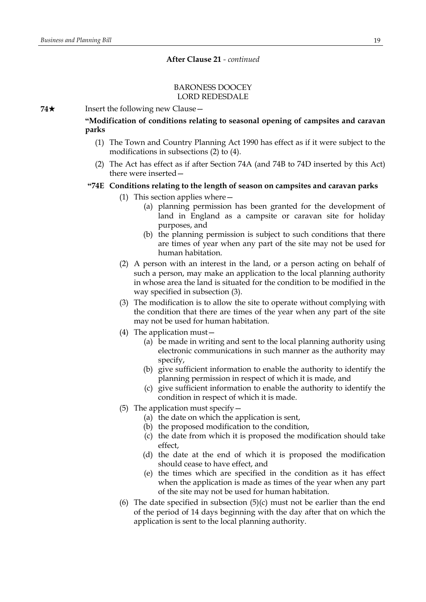#### BARONESS DOOCEY LORD REDESDALE

**74**★ Insert the following new Clause

**"Modification of conditions relating to seasonal opening of campsites and caravan parks**

- (1) The Town and Country Planning Act 1990 has effect as if it were subject to the modifications in subsections (2) to (4).
- (2) The Act has effect as if after Section 74A (and 74B to 74D inserted by this Act) there were inserted—

### **"74E Conditions relating to the length of season on campsites and caravan parks**

- (1) This section applies where—
	- (a) planning permission has been granted for the development of land in England as a campsite or caravan site for holiday purposes, and
	- (b) the planning permission is subject to such conditions that there are times of year when any part of the site may not be used for human habitation.
- (2) A person with an interest in the land, or a person acting on behalf of such a person, may make an application to the local planning authority in whose area the land is situated for the condition to be modified in the way specified in subsection (3).
- (3) The modification is to allow the site to operate without complying with the condition that there are times of the year when any part of the site may not be used for human habitation.
- (4) The application must—
	- (a) be made in writing and sent to the local planning authority using electronic communications in such manner as the authority may specify,
	- (b) give sufficient information to enable the authority to identify the planning permission in respect of which it is made, and
	- (c) give sufficient information to enable the authority to identify the condition in respect of which it is made.
- (5) The application must specify  $-$ 
	- (a) the date on which the application is sent,
	- (b) the proposed modification to the condition,
	- (c) the date from which it is proposed the modification should take effect,
	- (d) the date at the end of which it is proposed the modification should cease to have effect, and
	- (e) the times which are specified in the condition as it has effect when the application is made as times of the year when any part of the site may not be used for human habitation.
- (6) The date specified in subsection  $(5)(c)$  must not be earlier than the end of the period of 14 days beginning with the day after that on which the application is sent to the local planning authority.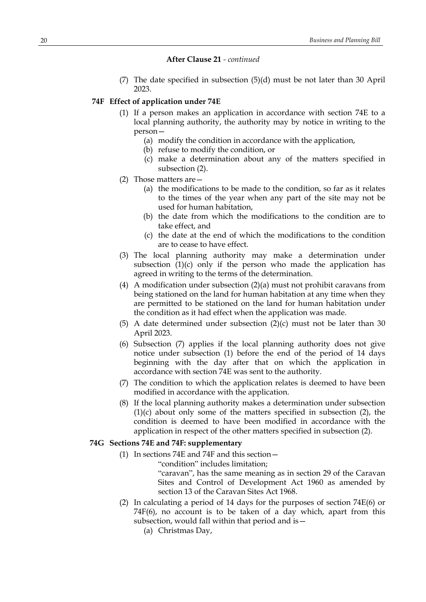(7) The date specified in subsection (5)(d) must be not later than 30 April 2023.

#### **74F Effect of application under 74E**

- (1) If a person makes an application in accordance with section 74E to a local planning authority, the authority may by notice in writing to the person—
	- (a) modify the condition in accordance with the application,
	- (b) refuse to modify the condition, or
	- (c) make a determination about any of the matters specified in subsection (2).
- (2) Those matters are—
	- (a) the modifications to be made to the condition, so far as it relates to the times of the year when any part of the site may not be used for human habitation,
	- (b) the date from which the modifications to the condition are to take effect, and
	- (c) the date at the end of which the modifications to the condition are to cease to have effect.
- (3) The local planning authority may make a determination under subsection  $(1)(c)$  only if the person who made the application has agreed in writing to the terms of the determination.
- (4) A modification under subsection (2)(a) must not prohibit caravans from being stationed on the land for human habitation at any time when they are permitted to be stationed on the land for human habitation under the condition as it had effect when the application was made.
- (5) A date determined under subsection (2)(c) must not be later than 30 April 2023.
- (6) Subsection (7) applies if the local planning authority does not give notice under subsection (1) before the end of the period of 14 days beginning with the day after that on which the application in accordance with section 74E was sent to the authority.
- (7) The condition to which the application relates is deemed to have been modified in accordance with the application.
- (8) If the local planning authority makes a determination under subsection (1)(c) about only some of the matters specified in subsection (2), the condition is deemed to have been modified in accordance with the application in respect of the other matters specified in subsection (2).

#### **74G Sections 74E and 74F: supplementary**

- (1) In sections 74E and 74F and this section—
	- "condition" includes limitation;

"caravan", has the same meaning as in section 29 of the Caravan Sites and Control of Development Act 1960 as amended by section 13 of the Caravan Sites Act 1968.

- (2) In calculating a period of 14 days for the purposes of section 74E(6) or 74F(6), no account is to be taken of a day which, apart from this subsection, would fall within that period and is—
	- (a) Christmas Day,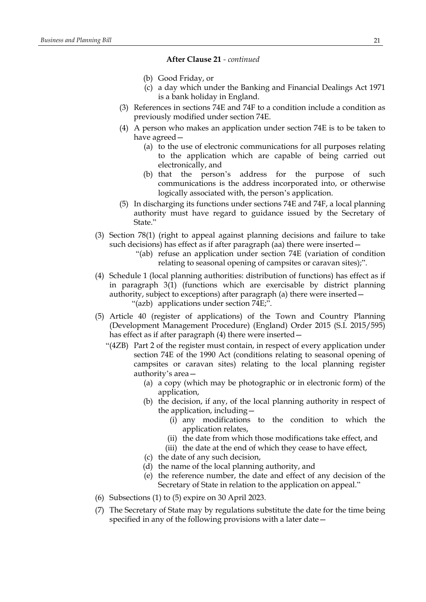- (b) Good Friday, or
- (c) a day which under the Banking and Financial Dealings Act 1971 is a bank holiday in England.
- (3) References in sections 74E and 74F to a condition include a condition as previously modified under section 74E.
- (4) A person who makes an application under section 74E is to be taken to have agreed—
	- (a) to the use of electronic communications for all purposes relating to the application which are capable of being carried out electronically, and
	- (b) that the person's address for the purpose of such communications is the address incorporated into, or otherwise logically associated with, the person's application.
- (5) In discharging its functions under sections 74E and 74F, a local planning authority must have regard to guidance issued by the Secretary of State."
- (3) Section 78(1) (right to appeal against planning decisions and failure to take such decisions) has effect as if after paragraph (aa) there were inserted—
	- "(ab) refuse an application under section 74E (variation of condition relating to seasonal opening of campsites or caravan sites);".
- (4) Schedule 1 (local planning authorities: distribution of functions) has effect as if in paragraph 3(1) (functions which are exercisable by district planning authority, subject to exceptions) after paragraph (a) there were inserted— "(azb) applications under section 74E;".
- (5) Article 40 (register of applications) of the Town and Country Planning (Development Management Procedure) (England) Order 2015 (S.I. 2015/595) has effect as if after paragraph (4) there were inserted –
	- "(4ZB) Part 2 of the register must contain, in respect of every application under section 74E of the 1990 Act (conditions relating to seasonal opening of campsites or caravan sites) relating to the local planning register authority's area—
		- (a) a copy (which may be photographic or in electronic form) of the application,
		- (b) the decision, if any, of the local planning authority in respect of the application, including—
			- (i) any modifications to the condition to which the application relates,
			- (ii) the date from which those modifications take effect, and
			- (iii) the date at the end of which they cease to have effect,
		- (c) the date of any such decision,
		- (d) the name of the local planning authority, and
		- (e) the reference number, the date and effect of any decision of the Secretary of State in relation to the application on appeal."
- (6) Subsections (1) to (5) expire on 30 April 2023.
- (7) The Secretary of State may by regulations substitute the date for the time being specified in any of the following provisions with a later date—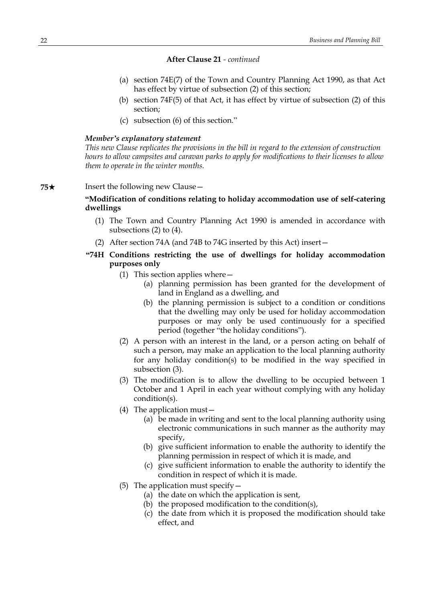- (a) section 74E(7) of the Town and Country Planning Act 1990, as that Act has effect by virtue of subsection (2) of this section;
- (b) section 74F(5) of that Act, it has effect by virtue of subsection (2) of this section;
- (c) subsection (6) of this section."

#### *Member's explanatory statement*

*This new Clause replicates the provisions in the bill in regard to the extension of construction hours to allow campsites and caravan parks to apply for modifications to their licenses to allow them to operate in the winter months.*

### **75**★ Insert the following new Clause

### **"Modification of conditions relating to holiday accommodation use of self-catering dwellings**

- (1) The Town and Country Planning Act 1990 is amended in accordance with subsections (2) to (4).
- (2) After section 74A (and 74B to 74G inserted by this Act) insert—
- **"74H Conditions restricting the use of dwellings for holiday accommodation purposes only**
	- (1) This section applies where—
		- (a) planning permission has been granted for the development of land in England as a dwelling, and
		- (b) the planning permission is subject to a condition or conditions that the dwelling may only be used for holiday accommodation purposes or may only be used continuously for a specified period (together "the holiday conditions").
	- (2) A person with an interest in the land, or a person acting on behalf of such a person, may make an application to the local planning authority for any holiday condition(s) to be modified in the way specified in subsection (3).
	- (3) The modification is to allow the dwelling to be occupied between 1 October and 1 April in each year without complying with any holiday condition(s).
	- (4) The application must—
		- (a) be made in writing and sent to the local planning authority using electronic communications in such manner as the authority may specify,
		- (b) give sufficient information to enable the authority to identify the planning permission in respect of which it is made, and
		- (c) give sufficient information to enable the authority to identify the condition in respect of which it is made.
	- (5) The application must specify  $-$ 
		- (a) the date on which the application is sent,
		- (b) the proposed modification to the condition(s),
		- (c) the date from which it is proposed the modification should take effect, and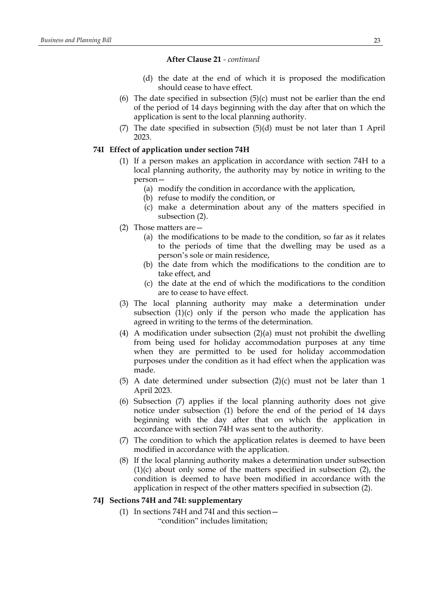- (d) the date at the end of which it is proposed the modification should cease to have effect.
- (6) The date specified in subsection (5)(c) must not be earlier than the end of the period of 14 days beginning with the day after that on which the application is sent to the local planning authority.
- (7) The date specified in subsection (5)(d) must be not later than 1 April 2023.

### **74I Effect of application under section 74H**

- (1) If a person makes an application in accordance with section 74H to a local planning authority, the authority may by notice in writing to the person—
	- (a) modify the condition in accordance with the application,
	- (b) refuse to modify the condition, or
	- (c) make a determination about any of the matters specified in subsection (2).
- (2) Those matters are—
	- (a) the modifications to be made to the condition, so far as it relates to the periods of time that the dwelling may be used as a person's sole or main residence,
	- (b) the date from which the modifications to the condition are to take effect, and
	- (c) the date at the end of which the modifications to the condition are to cease to have effect.
- (3) The local planning authority may make a determination under subsection  $(1)(c)$  only if the person who made the application has agreed in writing to the terms of the determination.
- (4) A modification under subsection (2)(a) must not prohibit the dwelling from being used for holiday accommodation purposes at any time when they are permitted to be used for holiday accommodation purposes under the condition as it had effect when the application was made.
- (5) A date determined under subsection (2)(c) must not be later than 1 April 2023.
- (6) Subsection (7) applies if the local planning authority does not give notice under subsection (1) before the end of the period of 14 days beginning with the day after that on which the application in accordance with section 74H was sent to the authority.
- (7) The condition to which the application relates is deemed to have been modified in accordance with the application.
- (8) If the local planning authority makes a determination under subsection (1)(c) about only some of the matters specified in subsection (2), the condition is deemed to have been modified in accordance with the application in respect of the other matters specified in subsection (2).

### **74J Sections 74H and 74I: supplementary**

(1) In sections 74H and 74I and this section— "condition" includes limitation;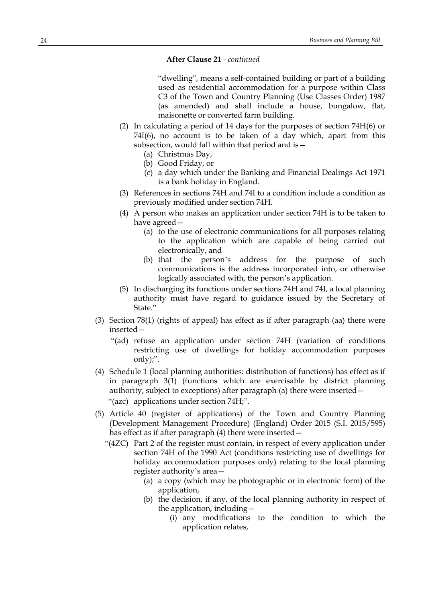"dwelling", means a self-contained building or part of a building used as residential accommodation for a purpose within Class C3 of the Town and Country Planning (Use Classes Order) 1987 (as amended) and shall include a house, bungalow, flat, maisonette or converted farm building.

- (2) In calculating a period of 14 days for the purposes of section 74H(6) or 74I(6), no account is to be taken of a day which, apart from this subsection, would fall within that period and is—
	- (a) Christmas Day,
	- (b) Good Friday, or
	- (c) a day which under the Banking and Financial Dealings Act 1971 is a bank holiday in England.
- (3) References in sections 74H and 74I to a condition include a condition as previously modified under section 74H.
- (4) A person who makes an application under section 74H is to be taken to have agreed—
	- (a) to the use of electronic communications for all purposes relating to the application which are capable of being carried out electronically, and
	- (b) that the person's address for the purpose of such communications is the address incorporated into, or otherwise logically associated with, the person's application.
- (5) In discharging its functions under sections 74H and 74I, a local planning authority must have regard to guidance issued by the Secretary of State."
- (3) Section 78(1) (rights of appeal) has effect as if after paragraph (aa) there were inserted—
	- "(ad) refuse an application under section 74H (variation of conditions restricting use of dwellings for holiday accommodation purposes only);".
- (4) Schedule 1 (local planning authorities: distribution of functions) has effect as if in paragraph 3(1) (functions which are exercisable by district planning authority, subject to exceptions) after paragraph (a) there were inserted— "(azc) applications under section 74H;".
- (5) Article 40 (register of applications) of the Town and Country Planning (Development Management Procedure) (England) Order 2015 (S.I. 2015/595) has effect as if after paragraph (4) there were inserted—
	- "(4ZC) Part 2 of the register must contain, in respect of every application under section 74H of the 1990 Act (conditions restricting use of dwellings for holiday accommodation purposes only) relating to the local planning register authority's area—
		- (a) a copy (which may be photographic or in electronic form) of the application,
		- (b) the decision, if any, of the local planning authority in respect of the application, including—
			- (i) any modifications to the condition to which the application relates,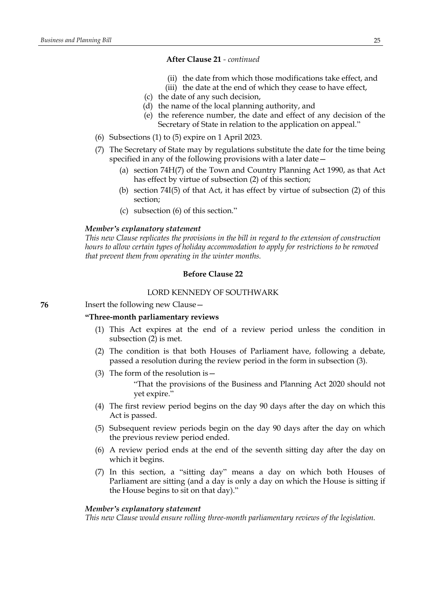- (ii) the date from which those modifications take effect, and
- (iii) the date at the end of which they cease to have effect,
- (c) the date of any such decision,
- (d) the name of the local planning authority, and
- (e) the reference number, the date and effect of any decision of the Secretary of State in relation to the application on appeal."
- (6) Subsections (1) to (5) expire on 1 April 2023.
- (7) The Secretary of State may by regulations substitute the date for the time being specified in any of the following provisions with a later date—
	- (a) section 74H(7) of the Town and Country Planning Act 1990, as that Act has effect by virtue of subsection (2) of this section;
	- (b) section 74I(5) of that Act, it has effect by virtue of subsection (2) of this section;
	- (c) subsection (6) of this section."

#### *Member's explanatory statement*

*This new Clause replicates the provisions in the bill in regard to the extension of construction hours to allow certain types of holiday accommodation to apply for restrictions to be removed that prevent them from operating in the winter months.*

### **Before Clause 22**

#### LORD KENNEDY OF SOUTHWARK

### **76** Insert the following new Clause—

### **"Three-month parliamentary reviews**

- (1) This Act expires at the end of a review period unless the condition in subsection (2) is met.
- (2) The condition is that both Houses of Parliament have, following a debate, passed a resolution during the review period in the form in subsection (3).
- (3) The form of the resolution is—

"That the provisions of the Business and Planning Act 2020 should not yet expire."

- (4) The first review period begins on the day 90 days after the day on which this Act is passed.
- (5) Subsequent review periods begin on the day 90 days after the day on which the previous review period ended.
- (6) A review period ends at the end of the seventh sitting day after the day on which it begins.
- (7) In this section, a "sitting day" means a day on which both Houses of Parliament are sitting (and a day is only a day on which the House is sitting if the House begins to sit on that day)."

#### *Member's explanatory statement*

*This new Clause would ensure rolling three-month parliamentary reviews of the legislation.*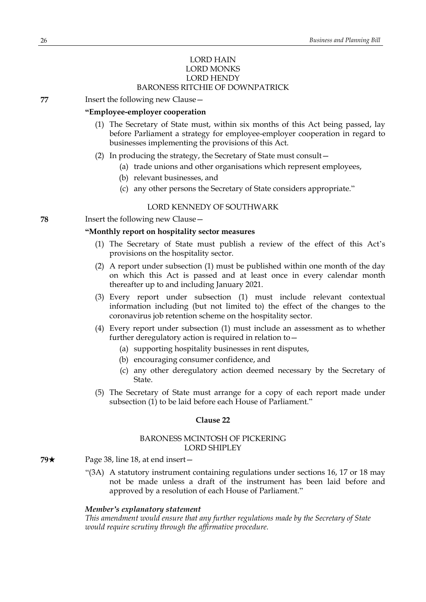### LORD HAIN LORD MONKS LORD HENDY BARONESS RITCHIE OF DOWNPATRICK

**77** Insert the following new Clause—

### **"Employee-employer cooperation**

- (1) The Secretary of State must, within six months of this Act being passed, lay before Parliament a strategy for employee-employer cooperation in regard to businesses implementing the provisions of this Act.
- (2) In producing the strategy, the Secretary of State must consult—
	- (a) trade unions and other organisations which represent employees,
	- (b) relevant businesses, and
	- (c) any other persons the Secretary of State considers appropriate."

### LORD KENNEDY OF SOUTHWARK

**78** Insert the following new Clause—

### **"Monthly report on hospitality sector measures**

- (1) The Secretary of State must publish a review of the effect of this Act's provisions on the hospitality sector.
- (2) A report under subsection (1) must be published within one month of the day on which this Act is passed and at least once in every calendar month thereafter up to and including January 2021.
- (3) Every report under subsection (1) must include relevant contextual information including (but not limited to) the effect of the changes to the coronavirus job retention scheme on the hospitality sector.
- (4) Every report under subsection (1) must include an assessment as to whether further deregulatory action is required in relation to—
	- (a) supporting hospitality businesses in rent disputes,
	- (b) encouraging consumer confidence, and
	- (c) any other deregulatory action deemed necessary by the Secretary of State.
- (5) The Secretary of State must arrange for a copy of each report made under subsection (1) to be laid before each House of Parliament."

#### **Clause 22**

### BARONESS MCINTOSH OF PICKERING LORD SHIPLEY

- **79**★ Page 38, line 18, at end insert
	- "(3A) A statutory instrument containing regulations under sections 16, 17 or 18 may not be made unless a draft of the instrument has been laid before and approved by a resolution of each House of Parliament."

#### *Member's explanatory statement*

*This amendment would ensure that any further regulations made by the Secretary of State would require scrutiny through the affirmative procedure.*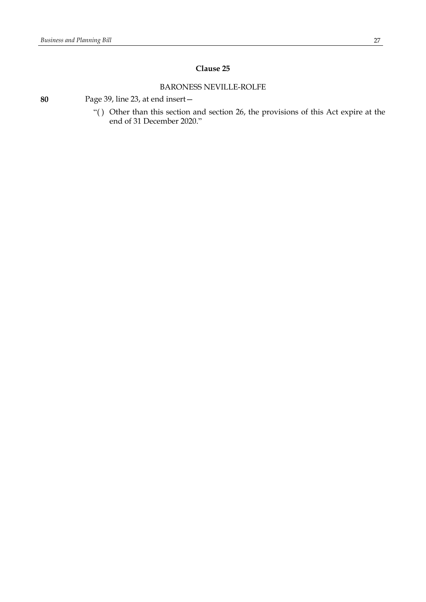### **Clause 25**

### BARONESS NEVILLE-ROLFE

**80** Page 39, line 23, at end insert—

"( ) Other than this section and section 26, the provisions of this Act expire at the end of 31 December 2020."